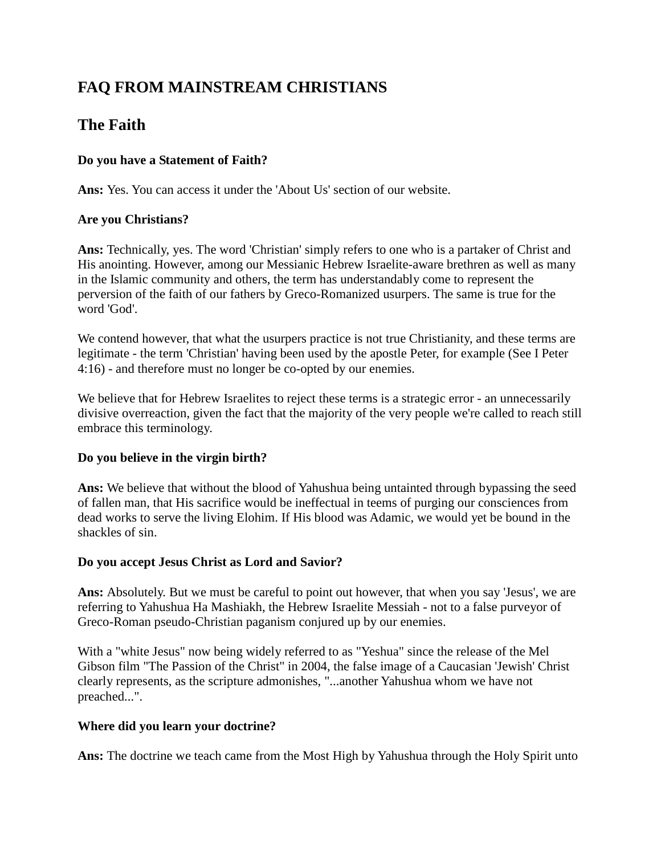# **FAQ FROM MAINSTREAM CHRISTIANS**

## **The Faith**

## **Do you have a Statement of Faith?**

**Ans:** Yes. You can access it under the 'About Us' section of our website.

## **Are you Christians?**

**Ans:** Technically, yes. The word 'Christian' simply refers to one who is a partaker of Christ and His anointing. However, among our Messianic Hebrew Israelite-aware brethren as well as many in the Islamic community and others, the term has understandably come to represent the perversion of the faith of our fathers by Greco-Romanized usurpers. The same is true for the word 'God'.

We contend however, that what the usurpers practice is not true Christianity, and these terms are legitimate - the term 'Christian' having been used by the apostle Peter, for example (See I Peter 4:16) - and therefore must no longer be co-opted by our enemies.

We believe that for Hebrew Israelites to reject these terms is a strategic error - an unnecessarily divisive overreaction, given the fact that the majority of the very people we're called to reach still embrace this terminology.

## **Do you believe in the virgin birth?**

**Ans:** We believe that without the blood of Yahushua being untainted through bypassing the seed of fallen man, that His sacrifice would be ineffectual in teems of purging our consciences from dead works to serve the living Elohim. If His blood was Adamic, we would yet be bound in the shackles of sin.

#### **Do you accept Jesus Christ as Lord and Savior?**

**Ans:** Absolutely. But we must be careful to point out however, that when you say 'Jesus', we are referring to Yahushua Ha Mashiakh, the Hebrew Israelite Messiah - not to a false purveyor of Greco-Roman pseudo-Christian paganism conjured up by our enemies.

With a "white Jesus" now being widely referred to as "Yeshua" since the release of the Mel Gibson film "The Passion of the Christ" in 2004, the false image of a Caucasian 'Jewish' Christ clearly represents, as the scripture admonishes, "...another Yahushua whom we have not preached...".

## **Where did you learn your doctrine?**

**Ans:** The doctrine we teach came from the Most High by Yahushua through the Holy Spirit unto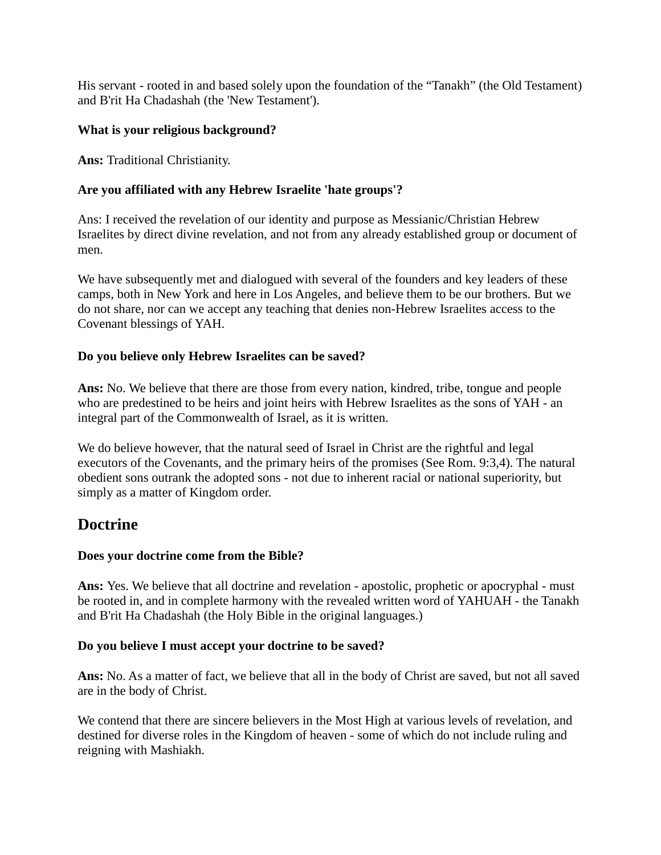His servant - rooted in and based solely upon the foundation of the "Tanakh" (the Old Testament) and B'rit Ha Chadashah (the 'New Testament').

#### **What is your religious background?**

**Ans:** Traditional Christianity.

#### **Are you affiliated with any Hebrew Israelite 'hate groups'?**

Ans: I received the revelation of our identity and purpose as Messianic/Christian Hebrew Israelites by direct divine revelation, and not from any already established group or document of men.

We have subsequently met and dialogued with several of the founders and key leaders of these camps, both in New York and here in Los Angeles, and believe them to be our brothers. But we do not share, nor can we accept any teaching that denies non-Hebrew Israelites access to the Covenant blessings of YAH.

#### **Do you believe only Hebrew Israelites can be saved?**

**Ans:** No. We believe that there are those from every nation, kindred, tribe, tongue and people who are predestined to be heirs and joint heirs with Hebrew Israelites as the sons of YAH - an integral part of the Commonwealth of Israel, as it is written.

We do believe however, that the natural seed of Israel in Christ are the rightful and legal executors of the Covenants, and the primary heirs of the promises (See Rom. 9:3,4). The natural obedient sons outrank the adopted sons - not due to inherent racial or national superiority, but simply as a matter of Kingdom order.

## **Doctrine**

## **Does your doctrine come from the Bible?**

**Ans:** Yes. We believe that all doctrine and revelation - apostolic, prophetic or apocryphal - must be rooted in, and in complete harmony with the revealed written word of YAHUAH - the Tanakh and B'rit Ha Chadashah (the Holy Bible in the original languages.)

#### **Do you believe I must accept your doctrine to be saved?**

**Ans:** No. As a matter of fact, we believe that all in the body of Christ are saved, but not all saved are in the body of Christ.

We contend that there are sincere believers in the Most High at various levels of revelation, and destined for diverse roles in the Kingdom of heaven - some of which do not include ruling and reigning with Mashiakh.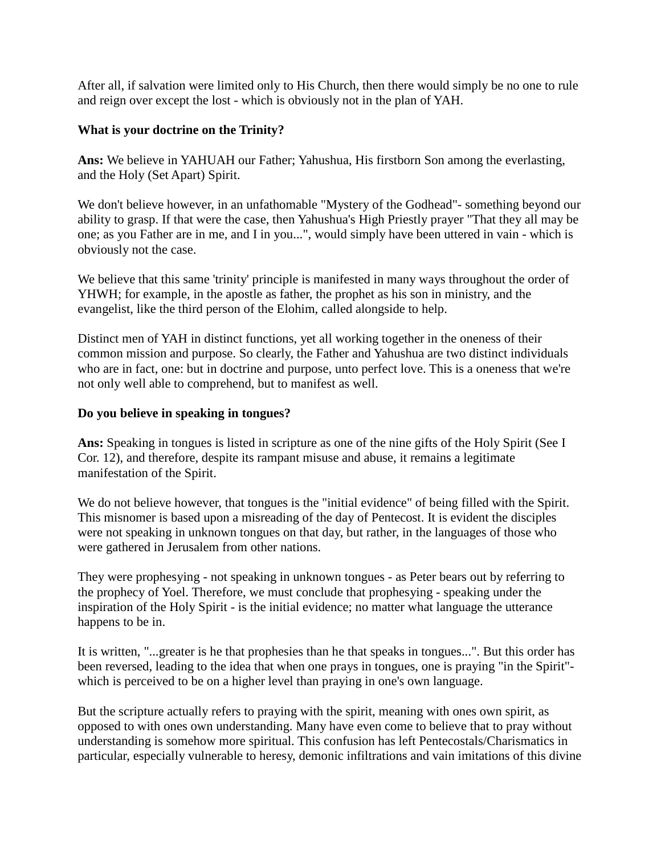After all, if salvation were limited only to His Church, then there would simply be no one to rule and reign over except the lost - which is obviously not in the plan of YAH.

#### **What is your doctrine on the Trinity?**

**Ans:** We believe in YAHUAH our Father; Yahushua, His firstborn Son among the everlasting, and the Holy (Set Apart) Spirit.

We don't believe however, in an unfathomable "Mystery of the Godhead"- something beyond our ability to grasp. If that were the case, then Yahushua's High Priestly prayer "That they all may be one; as you Father are in me, and I in you...", would simply have been uttered in vain - which is obviously not the case.

We believe that this same 'trinity' principle is manifested in many ways throughout the order of YHWH; for example, in the apostle as father, the prophet as his son in ministry, and the evangelist, like the third person of the Elohim, called alongside to help.

Distinct men of YAH in distinct functions, yet all working together in the oneness of their common mission and purpose. So clearly, the Father and Yahushua are two distinct individuals who are in fact, one: but in doctrine and purpose, unto perfect love. This is a oneness that we're not only well able to comprehend, but to manifest as well.

## **Do you believe in speaking in tongues?**

**Ans:** Speaking in tongues is listed in scripture as one of the nine gifts of the Holy Spirit (See I Cor. 12), and therefore, despite its rampant misuse and abuse, it remains a legitimate manifestation of the Spirit.

We do not believe however, that tongues is the "initial evidence" of being filled with the Spirit. This misnomer is based upon a misreading of the day of Pentecost. It is evident the disciples were not speaking in unknown tongues on that day, but rather, in the languages of those who were gathered in Jerusalem from other nations.

They were prophesying - not speaking in unknown tongues - as Peter bears out by referring to the prophecy of Yoel. Therefore, we must conclude that prophesying - speaking under the inspiration of the Holy Spirit - is the initial evidence; no matter what language the utterance happens to be in.

It is written, "...greater is he that prophesies than he that speaks in tongues...". But this order has been reversed, leading to the idea that when one prays in tongues, one is praying "in the Spirit" which is perceived to be on a higher level than praying in one's own language.

But the scripture actually refers to praying with the spirit, meaning with ones own spirit, as opposed to with ones own understanding. Many have even come to believe that to pray without understanding is somehow more spiritual. This confusion has left Pentecostals/Charismatics in particular, especially vulnerable to heresy, demonic infiltrations and vain imitations of this divine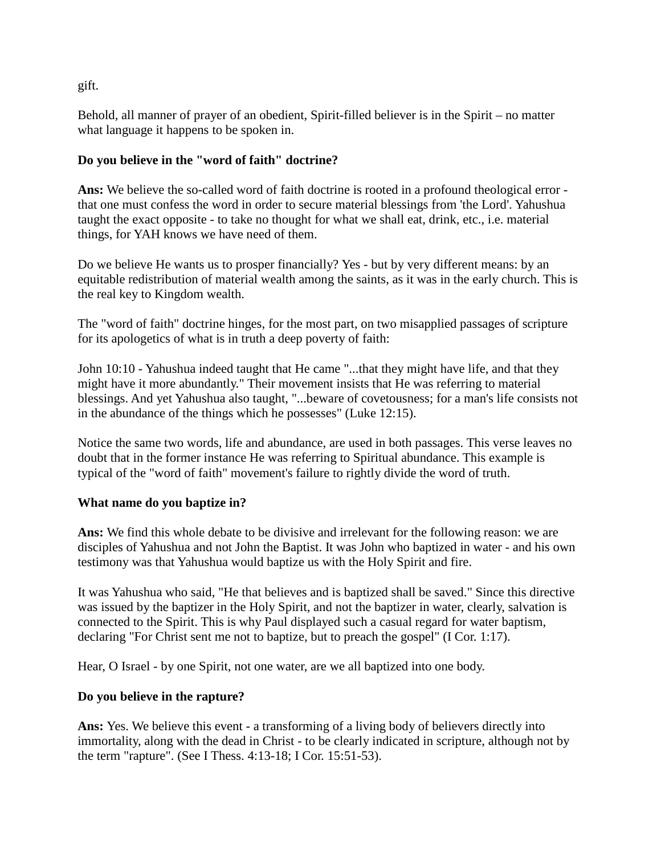gift.

Behold, all manner of prayer of an obedient, Spirit-filled believer is in the Spirit – no matter what language it happens to be spoken in.

## **Do you believe in the "word of faith" doctrine?**

**Ans:** We believe the so-called word of faith doctrine is rooted in a profound theological error that one must confess the word in order to secure material blessings from 'the Lord'. Yahushua taught the exact opposite - to take no thought for what we shall eat, drink, etc., i.e. material things, for YAH knows we have need of them.

Do we believe He wants us to prosper financially? Yes - but by very different means: by an equitable redistribution of material wealth among the saints, as it was in the early church. This is the real key to Kingdom wealth.

The "word of faith" doctrine hinges, for the most part, on two misapplied passages of scripture for its apologetics of what is in truth a deep poverty of faith:

John 10:10 - Yahushua indeed taught that He came "...that they might have life, and that they might have it more abundantly." Their movement insists that He was referring to material blessings. And yet Yahushua also taught, "...beware of covetousness; for a man's life consists not in the abundance of the things which he possesses" (Luke 12:15).

Notice the same two words, life and abundance, are used in both passages. This verse leaves no doubt that in the former instance He was referring to Spiritual abundance. This example is typical of the "word of faith" movement's failure to rightly divide the word of truth.

## **What name do you baptize in?**

**Ans:** We find this whole debate to be divisive and irrelevant for the following reason: we are disciples of Yahushua and not John the Baptist. It was John who baptized in water - and his own testimony was that Yahushua would baptize us with the Holy Spirit and fire.

It was Yahushua who said, "He that believes and is baptized shall be saved." Since this directive was issued by the baptizer in the Holy Spirit, and not the baptizer in water, clearly, salvation is connected to the Spirit. This is why Paul displayed such a casual regard for water baptism, declaring "For Christ sent me not to baptize, but to preach the gospel" (I Cor. 1:17).

Hear, O Israel - by one Spirit, not one water, are we all baptized into one body.

## **Do you believe in the rapture?**

**Ans:** Yes. We believe this event - a transforming of a living body of believers directly into immortality, along with the dead in Christ - to be clearly indicated in scripture, although not by the term "rapture". (See I Thess. 4:13-18; I Cor. 15:51-53).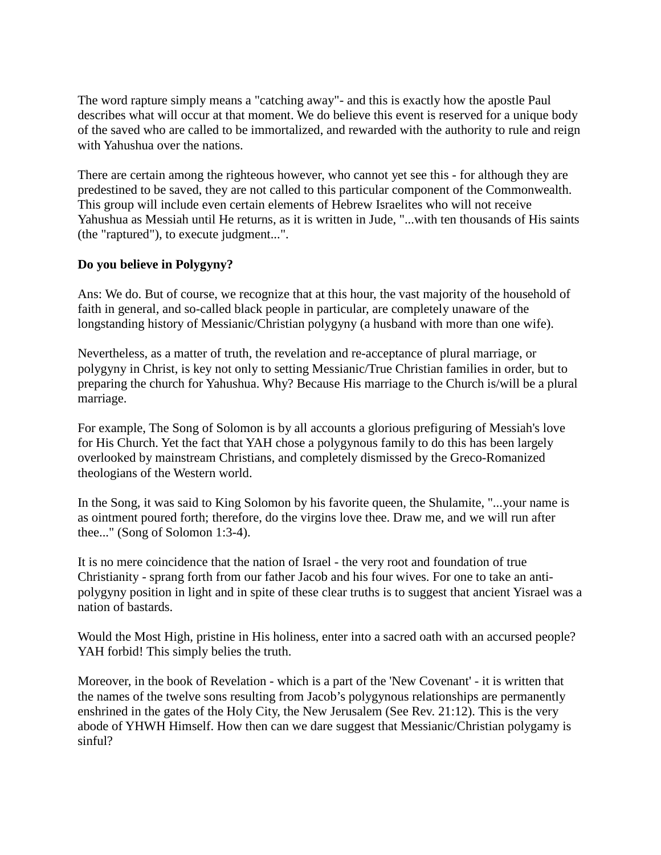The word rapture simply means a "catching away"- and this is exactly how the apostle Paul describes what will occur at that moment. We do believe this event is reserved for a unique body of the saved who are called to be immortalized, and rewarded with the authority to rule and reign with Yahushua over the nations.

There are certain among the righteous however, who cannot yet see this - for although they are predestined to be saved, they are not called to this particular component of the Commonwealth. This group will include even certain elements of Hebrew Israelites who will not receive Yahushua as Messiah until He returns, as it is written in Jude, "...with ten thousands of His saints (the "raptured"), to execute judgment...".

## **Do you believe in Polygyny?**

Ans: We do. But of course, we recognize that at this hour, the vast majority of the household of faith in general, and so-called black people in particular, are completely unaware of the longstanding history of Messianic/Christian polygyny (a husband with more than one wife).

Nevertheless, as a matter of truth, the revelation and re-acceptance of plural marriage, or polygyny in Christ, is key not only to setting Messianic/True Christian families in order, but to preparing the church for Yahushua. Why? Because His marriage to the Church is/will be a plural marriage.

For example, The Song of Solomon is by all accounts a glorious prefiguring of Messiah's love for His Church. Yet the fact that YAH chose a polygynous family to do this has been largely overlooked by mainstream Christians, and completely dismissed by the Greco-Romanized theologians of the Western world.

In the Song, it was said to King Solomon by his favorite queen, the Shulamite, "...your name is as ointment poured forth; therefore, do the virgins love thee. Draw me, and we will run after thee..." (Song of Solomon 1:3-4).

It is no mere coincidence that the nation of Israel - the very root and foundation of true Christianity - sprang forth from our father Jacob and his four wives. For one to take an antipolygyny position in light and in spite of these clear truths is to suggest that ancient Yisrael was a nation of bastards.

Would the Most High, pristine in His holiness, enter into a sacred oath with an accursed people? YAH forbid! This simply belies the truth.

Moreover, in the book of Revelation - which is a part of the 'New Covenant' - it is written that the names of the twelve sons resulting from Jacob's polygynous relationships are permanently enshrined in the gates of the Holy City, the New Jerusalem (See Rev. 21:12). This is the very abode of YHWH Himself. How then can we dare suggest that Messianic/Christian polygamy is sinful?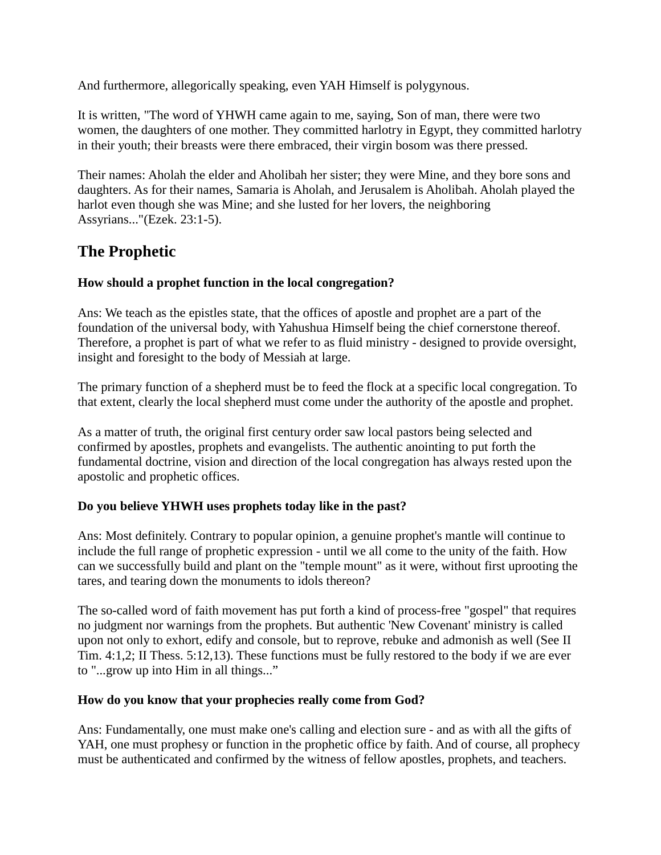And furthermore, allegorically speaking, even YAH Himself is polygynous.

It is written, "The word of YHWH came again to me, saying, Son of man, there were two women, the daughters of one mother. They committed harlotry in Egypt, they committed harlotry in their youth; their breasts were there embraced, their virgin bosom was there pressed.

Their names: Aholah the elder and Aholibah her sister; they were Mine, and they bore sons and daughters. As for their names, Samaria is Aholah, and Jerusalem is Aholibah. Aholah played the harlot even though she was Mine; and she lusted for her lovers, the neighboring Assyrians..."(Ezek. 23:1-5).

## **The Prophetic**

## **How should a prophet function in the local congregation?**

Ans: We teach as the epistles state, that the offices of apostle and prophet are a part of the foundation of the universal body, with Yahushua Himself being the chief cornerstone thereof. Therefore, a prophet is part of what we refer to as fluid ministry - designed to provide oversight, insight and foresight to the body of Messiah at large.

The primary function of a shepherd must be to feed the flock at a specific local congregation. To that extent, clearly the local shepherd must come under the authority of the apostle and prophet.

As a matter of truth, the original first century order saw local pastors being selected and confirmed by apostles, prophets and evangelists. The authentic anointing to put forth the fundamental doctrine, vision and direction of the local congregation has always rested upon the apostolic and prophetic offices.

## **Do you believe YHWH uses prophets today like in the past?**

Ans: Most definitely. Contrary to popular opinion, a genuine prophet's mantle will continue to include the full range of prophetic expression - until we all come to the unity of the faith. How can we successfully build and plant on the "temple mount" as it were, without first uprooting the tares, and tearing down the monuments to idols thereon?

The so-called word of faith movement has put forth a kind of process-free "gospel" that requires no judgment nor warnings from the prophets. But authentic 'New Covenant' ministry is called upon not only to exhort, edify and console, but to reprove, rebuke and admonish as well (See II Tim. 4:1,2; II Thess. 5:12,13). These functions must be fully restored to the body if we are ever to "...grow up into Him in all things..."

## **How do you know that your prophecies really come from God?**

Ans: Fundamentally, one must make one's calling and election sure - and as with all the gifts of YAH, one must prophesy or function in the prophetic office by faith. And of course, all prophecy must be authenticated and confirmed by the witness of fellow apostles, prophets, and teachers.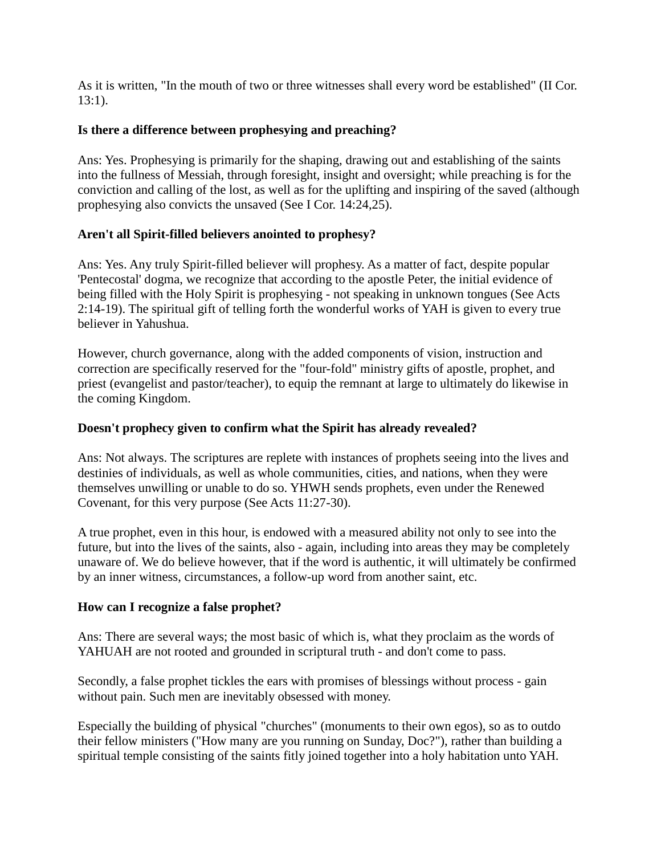As it is written, "In the mouth of two or three witnesses shall every word be established" (II Cor.  $13:1$ ).

#### **Is there a difference between prophesying and preaching?**

Ans: Yes. Prophesying is primarily for the shaping, drawing out and establishing of the saints into the fullness of Messiah, through foresight, insight and oversight; while preaching is for the conviction and calling of the lost, as well as for the uplifting and inspiring of the saved (although prophesying also convicts the unsaved (See I Cor. 14:24,25).

#### **Aren't all Spirit-filled believers anointed to prophesy?**

Ans: Yes. Any truly Spirit-filled believer will prophesy. As a matter of fact, despite popular 'Pentecostal' dogma, we recognize that according to the apostle Peter, the initial evidence of being filled with the Holy Spirit is prophesying - not speaking in unknown tongues (See Acts 2:14-19). The spiritual gift of telling forth the wonderful works of YAH is given to every true believer in Yahushua.

However, church governance, along with the added components of vision, instruction and correction are specifically reserved for the "four-fold" ministry gifts of apostle, prophet, and priest (evangelist and pastor/teacher), to equip the remnant at large to ultimately do likewise in the coming Kingdom.

#### **Doesn't prophecy given to confirm what the Spirit has already revealed?**

Ans: Not always. The scriptures are replete with instances of prophets seeing into the lives and destinies of individuals, as well as whole communities, cities, and nations, when they were themselves unwilling or unable to do so. YHWH sends prophets, even under the Renewed Covenant, for this very purpose (See Acts 11:27-30).

A true prophet, even in this hour, is endowed with a measured ability not only to see into the future, but into the lives of the saints, also - again, including into areas they may be completely unaware of. We do believe however, that if the word is authentic, it will ultimately be confirmed by an inner witness, circumstances, a follow-up word from another saint, etc.

#### **How can I recognize a false prophet?**

Ans: There are several ways; the most basic of which is, what they proclaim as the words of YAHUAH are not rooted and grounded in scriptural truth - and don't come to pass.

Secondly, a false prophet tickles the ears with promises of blessings without process - gain without pain. Such men are inevitably obsessed with money.

Especially the building of physical "churches" (monuments to their own egos), so as to outdo their fellow ministers ("How many are you running on Sunday, Doc?"), rather than building a spiritual temple consisting of the saints fitly joined together into a holy habitation unto YAH.